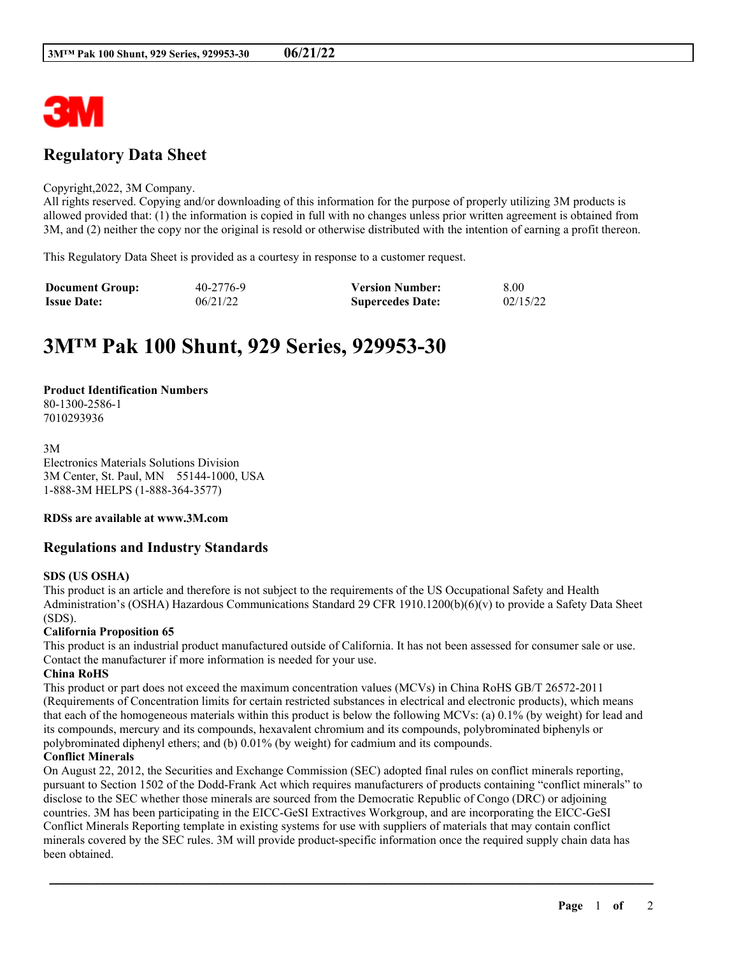

# **Regulatory Data Sheet**

#### Copyright,2022, 3M Company.

All rights reserved. Copying and/or downloading of this information for the purpose of properly utilizing 3M products is allowed provided that: (1) the information is copied in full with no changes unless prior written agreement is obtained from 3M, and (2) neither the copy nor the original is resold or otherwise distributed with the intention of earning a profit thereon.

This Regulatory Data Sheet is provided as a courtesy in response to a customer request.

| <b>Document Group:</b> | 40-2776-9 | <b>Version Number:</b>  | 8.00     |
|------------------------|-----------|-------------------------|----------|
| <b>Issue Date:</b>     | 06/21/22  | <b>Supercedes Date:</b> | 02/15/22 |

# **3M™ Pak 100 Shunt, 929 Series, 929953-30**

## **Product Identification Numbers**

80-1300-2586-1 7010293936

3M Electronics Materials Solutions Division 3M Center, St. Paul, MN 55144-1000, USA 1-888-3M HELPS (1-888-364-3577)

# **RDSs are available at www.3M.com**

# **Regulations and Industry Standards**

# **SDS (US OSHA)**

This product is an article and therefore is not subject to the requirements of the US Occupational Safety and Health Administration's (OSHA) Hazardous Communications Standard 29 CFR 1910.1200(b)(6)(v) to provide a Safety Data Sheet (SDS).

# **California Proposition 65**

This product is an industrial product manufactured outside of California. It has not been assessed for consumer sale or use. Contact the manufacturer if more information is needed for your use.

### **China RoHS**

This product or part does not exceed the maximum concentration values (MCVs) in China RoHS GB/T 26572-2011 (Requirements of Concentration limits for certain restricted substances in electrical and electronic products), which means that each of the homogeneous materials within this product is below the following MCVs: (a) 0.1% (by weight) for lead and its compounds, mercury and its compounds, hexavalent chromium and its compounds, polybrominated biphenyls or polybrominated diphenyl ethers; and (b) 0.01% (by weight) for cadmium and its compounds.

### **Conflict Minerals**

On August 22, 2012, the Securities and Exchange Commission (SEC) adopted final rules on conflict minerals reporting, pursuant to Section 1502 of the Dodd-Frank Act which requires manufacturers of products containing "conflict minerals" to disclose to the SEC whether those minerals are sourced from the Democratic Republic of Congo (DRC) or adjoining countries. 3M has been participating in the EICC-GeSI Extractives Workgroup, and are incorporating the EICC-GeSI Conflict Minerals Reporting template in existing systems for use with suppliers of materials that may contain conflict minerals covered by the SEC rules. 3M will provide product-specific information once the required supply chain data has been obtained.

\_\_\_\_\_\_\_\_\_\_\_\_\_\_\_\_\_\_\_\_\_\_\_\_\_\_\_\_\_\_\_\_\_\_\_\_\_\_\_\_\_\_\_\_\_\_\_\_\_\_\_\_\_\_\_\_\_\_\_\_\_\_\_\_\_\_\_\_\_\_\_\_\_\_\_\_\_\_\_\_\_\_\_\_\_\_\_\_\_\_